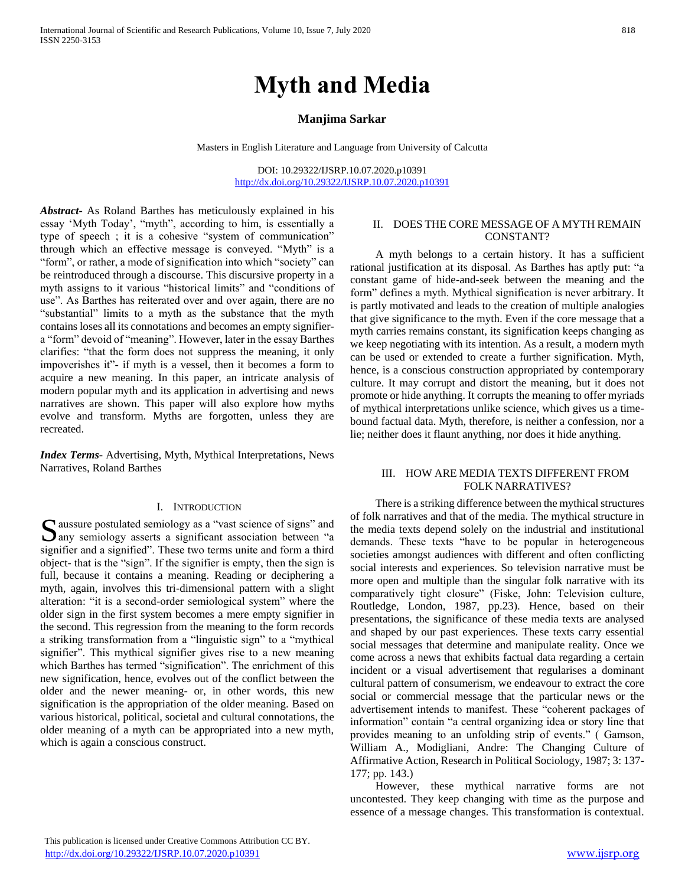# **Myth and Media**

# **Manjima Sarkar**

Masters in English Literature and Language from University of Calcutta

DOI: 10.29322/IJSRP.10.07.2020.p10391 <http://dx.doi.org/10.29322/IJSRP.10.07.2020.p10391>

*Abstract***-** As Roland Barthes has meticulously explained in his essay 'Myth Today', "myth", according to him, is essentially a type of speech ; it is a cohesive "system of communication" through which an effective message is conveyed. "Myth" is a "form", or rather, a mode of signification into which "society" can be reintroduced through a discourse. This discursive property in a myth assigns to it various "historical limits" and "conditions of use". As Barthes has reiterated over and over again, there are no "substantial" limits to a myth as the substance that the myth contains loses all its connotations and becomes an empty signifiera "form" devoid of "meaning". However, later in the essay Barthes clarifies: "that the form does not suppress the meaning, it only impoverishes it"- if myth is a vessel, then it becomes a form to acquire a new meaning. In this paper, an intricate analysis of modern popular myth and its application in advertising and news narratives are shown. This paper will also explore how myths evolve and transform. Myths are forgotten, unless they are recreated.

*Index Terms*- Advertising, Myth, Mythical Interpretations, News Narratives, Roland Barthes

#### I. INTRODUCTION

aussure postulated semiology as a "vast science of signs" and Solution and asserts a significant association between "a signifier and a signified". These two terms unite and form a third object- that is the "sign". If the signifier is empty, then the sign is full, because it contains a meaning. Reading or deciphering a myth, again, involves this tri-dimensional pattern with a slight alteration: "it is a second-order semiological system" where the older sign in the first system becomes a mere empty signifier in the second. This regression from the meaning to the form records a striking transformation from a "linguistic sign" to a "mythical signifier". This mythical signifier gives rise to a new meaning which Barthes has termed "signification". The enrichment of this new signification, hence, evolves out of the conflict between the older and the newer meaning- or, in other words, this new signification is the appropriation of the older meaning. Based on various historical, political, societal and cultural connotations, the older meaning of a myth can be appropriated into a new myth, which is again a conscious construct.

#### II. DOES THE CORE MESSAGE OF A MYTH REMAIN CONSTANT?

 A myth belongs to a certain history. It has a sufficient rational justification at its disposal. As Barthes has aptly put: "a constant game of hide-and-seek between the meaning and the form" defines a myth. Mythical signification is never arbitrary. It is partly motivated and leads to the creation of multiple analogies that give significance to the myth. Even if the core message that a myth carries remains constant, its signification keeps changing as we keep negotiating with its intention. As a result, a modern myth can be used or extended to create a further signification. Myth, hence, is a conscious construction appropriated by contemporary culture. It may corrupt and distort the meaning, but it does not promote or hide anything. It corrupts the meaning to offer myriads of mythical interpretations unlike science, which gives us a timebound factual data. Myth, therefore, is neither a confession, nor a lie; neither does it flaunt anything, nor does it hide anything.

# III. HOW ARE MEDIA TEXTS DIFFERENT FROM FOLK NARRATIVES?

 There is a striking difference between the mythical structures of folk narratives and that of the media. The mythical structure in the media texts depend solely on the industrial and institutional demands. These texts "have to be popular in heterogeneous societies amongst audiences with different and often conflicting social interests and experiences. So television narrative must be more open and multiple than the singular folk narrative with its comparatively tight closure" (Fiske, John: Television culture, Routledge, London, 1987, pp.23). Hence, based on their presentations, the significance of these media texts are analysed and shaped by our past experiences. These texts carry essential social messages that determine and manipulate reality. Once we come across a news that exhibits factual data regarding a certain incident or a visual advertisement that regularises a dominant cultural pattern of consumerism, we endeavour to extract the core social or commercial message that the particular news or the advertisement intends to manifest. These "coherent packages of information" contain "a central organizing idea or story line that provides meaning to an unfolding strip of events." ( Gamson, William A., Modigliani, Andre: The Changing Culture of Affirmative Action, Research in Political Sociology, 1987; 3: 137- 177; pp. 143.)

 However, these mythical narrative forms are not uncontested. They keep changing with time as the purpose and essence of a message changes. This transformation is contextual.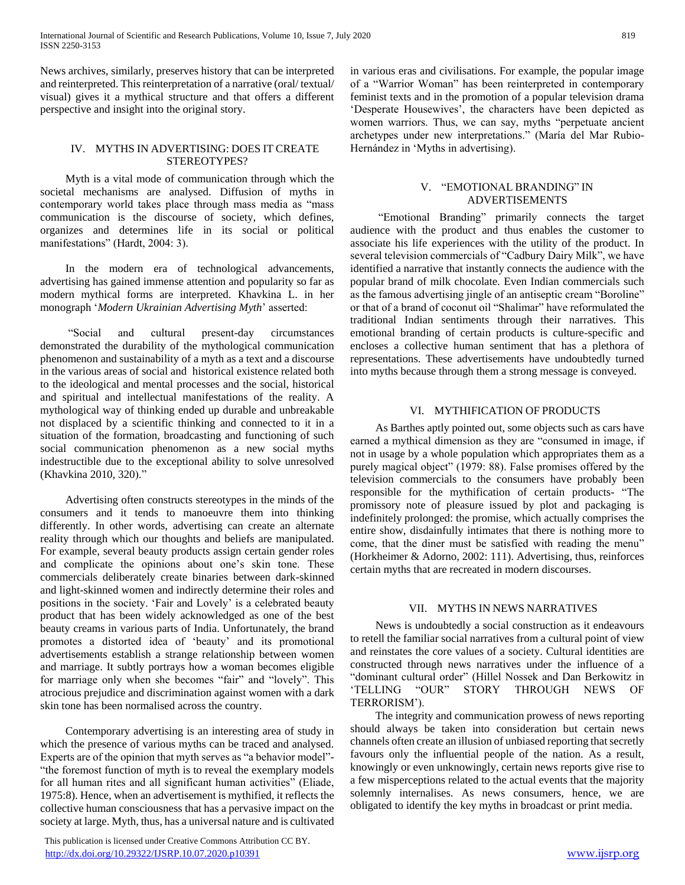News archives, similarly, preserves history that can be interpreted and reinterpreted. This reinterpretation of a narrative (oral/ textual/ visual) gives it a mythical structure and that offers a different perspective and insight into the original story.

# IV. MYTHS IN ADVERTISING: DOES IT CREATE STEREOTYPES?

 Myth is a vital mode of communication through which the societal mechanisms are analysed. Diffusion of myths in contemporary world takes place through mass media as "mass communication is the discourse of society, which defines, organizes and determines life in its social or political manifestations" (Hardt, 2004: 3).

 In the modern era of technological advancements, advertising has gained immense attention and popularity so far as modern mythical forms are interpreted. Khavkina L. in her monograph '*Modern Ukrainian Advertising Myth*' asserted:

 "Social and cultural present-day circumstances demonstrated the durability of the mythological communication phenomenon and sustainability of a myth as a text and a discourse in the various areas of social and historical existence related both to the ideological and mental processes and the social, historical and spiritual and intellectual manifestations of the reality. A mythological way of thinking ended up durable and unbreakable not displaced by a scientific thinking and connected to it in a situation of the formation, broadcasting and functioning of such social communication phenomenon as a new social myths indestructible due to the exceptional ability to solve unresolved (Khavkina 2010, 320)."

 Advertising often constructs stereotypes in the minds of the consumers and it tends to manoeuvre them into thinking differently. In other words, advertising can create an alternate reality through which our thoughts and beliefs are manipulated. For example, several beauty products assign certain gender roles and complicate the opinions about one's skin tone. These commercials deliberately create binaries between dark-skinned and light-skinned women and indirectly determine their roles and positions in the society. 'Fair and Lovely' is a celebrated beauty product that has been widely acknowledged as one of the best beauty creams in various parts of India. Unfortunately, the brand promotes a distorted idea of 'beauty' and its promotional advertisements establish a strange relationship between women and marriage. It subtly portrays how a woman becomes eligible for marriage only when she becomes "fair" and "lovely". This atrocious prejudice and discrimination against women with a dark skin tone has been normalised across the country.

 Contemporary advertising is an interesting area of study in which the presence of various myths can be traced and analysed. Experts are of the opinion that myth serves as "a behavior model"- "the foremost function of myth is to reveal the exemplary models for all human rites and all significant human activities" (Eliade, 1975:8). Hence, when an advertisement is mythified, it reflects the collective human consciousness that has a pervasive impact on the society at large. Myth, thus, has a universal nature and is cultivated

 This publication is licensed under Creative Commons Attribution CC BY. <http://dx.doi.org/10.29322/IJSRP.10.07.2020.p10391> [www.ijsrp.org](http://ijsrp.org/)

in various eras and civilisations. For example, the popular image of a "Warrior Woman" has been reinterpreted in contemporary feminist texts and in the promotion of a popular television drama 'Desperate Housewives', the characters have been depicted as women warriors. Thus, we can say, myths "perpetuate ancient archetypes under new interpretations." (María del Mar Rubio-Hernández in 'Myths in advertising).

## V. "EMOTIONAL BRANDING" IN ADVERTISEMENTS

 "Emotional Branding" primarily connects the target audience with the product and thus enables the customer to associate his life experiences with the utility of the product. In several television commercials of "Cadbury Dairy Milk", we have identified a narrative that instantly connects the audience with the popular brand of milk chocolate. Even Indian commercials such as the famous advertising jingle of an antiseptic cream "Boroline" or that of a brand of coconut oil "Shalimar" have reformulated the traditional Indian sentiments through their narratives. This emotional branding of certain products is culture-specific and encloses a collective human sentiment that has a plethora of representations. These advertisements have undoubtedly turned into myths because through them a strong message is conveyed.

# VI. MYTHIFICATION OF PRODUCTS

 As Barthes aptly pointed out, some objects such as cars have earned a mythical dimension as they are "consumed in image, if not in usage by a whole population which appropriates them as a purely magical object" (1979: 88). False promises offered by the television commercials to the consumers have probably been responsible for the mythification of certain products- "The promissory note of pleasure issued by plot and packaging is indefinitely prolonged: the promise, which actually comprises the entire show, disdainfully intimates that there is nothing more to come, that the diner must be satisfied with reading the menu" (Horkheimer & Adorno, 2002: 111). Advertising, thus, reinforces certain myths that are recreated in modern discourses.

## VII. MYTHS IN NEWS NARRATIVES

 News is undoubtedly a social construction as it endeavours to retell the familiar social narratives from a cultural point of view and reinstates the core values of a society. Cultural identities are constructed through news narratives under the influence of a "dominant cultural order" (Hillel Nossek and Dan Berkowitz in 'TELLING "OUR" STORY THROUGH NEWS OF TERRORISM').

 The integrity and communication prowess of news reporting should always be taken into consideration but certain news channels often create an illusion of unbiased reporting that secretly favours only the influential people of the nation. As a result, knowingly or even unknowingly, certain news reports give rise to a few misperceptions related to the actual events that the majority solemnly internalises. As news consumers, hence, we are obligated to identify the key myths in broadcast or print media.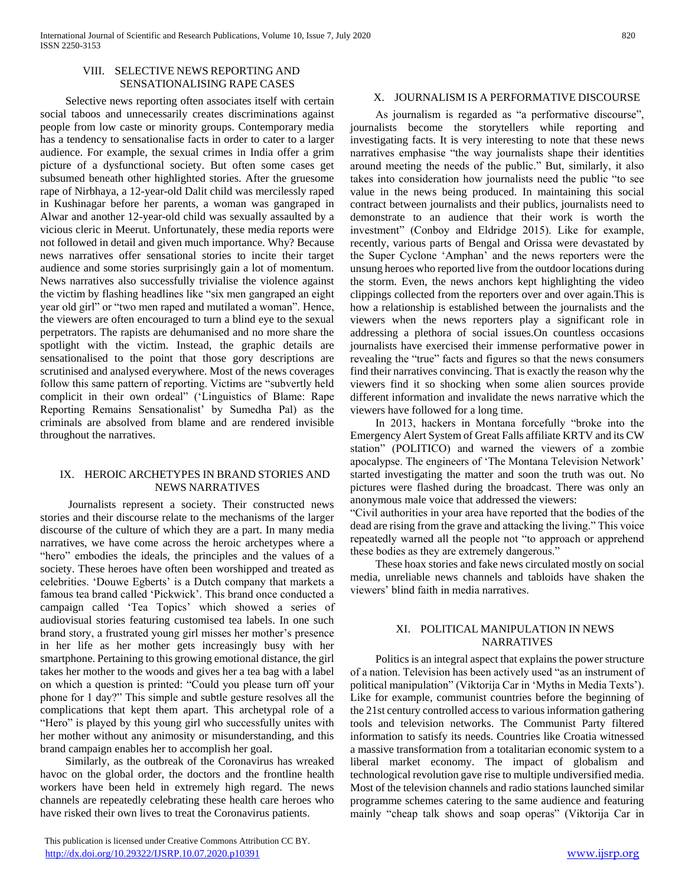#### VIII. SELECTIVE NEWS REPORTING AND SENSATIONALISING RAPE CASES

 Selective news reporting often associates itself with certain social taboos and unnecessarily creates discriminations against people from low caste or minority groups. Contemporary media has a tendency to sensationalise facts in order to cater to a larger audience. For example, the sexual crimes in India offer a grim picture of a dysfunctional society. But often some cases get subsumed beneath other highlighted stories. After the gruesome rape of Nirbhaya, a 12-year-old Dalit child was mercilessly raped in Kushinagar before her parents, a woman was gangraped in Alwar and another 12-year-old child was sexually assaulted by a vicious cleric in Meerut. Unfortunately, these media reports were not followed in detail and given much importance. Why? Because news narratives offer sensational stories to incite their target audience and some stories surprisingly gain a lot of momentum. News narratives also successfully trivialise the violence against the victim by flashing headlines like "six men gangraped an eight year old girl" or "two men raped and mutilated a woman". Hence, the viewers are often encouraged to turn a blind eye to the sexual perpetrators. The rapists are dehumanised and no more share the spotlight with the victim. Instead, the graphic details are sensationalised to the point that those gory descriptions are scrutinised and analysed everywhere. Most of the news coverages follow this same pattern of reporting. Victims are "subvertly held complicit in their own ordeal" ('Linguistics of Blame: Rape Reporting Remains Sensationalist' by Sumedha Pal) as the criminals are absolved from blame and are rendered invisible throughout the narratives.

## IX. HEROIC ARCHETYPES IN BRAND STORIES AND NEWS NARRATIVES

 Journalists represent a society. Their constructed news stories and their discourse relate to the mechanisms of the larger discourse of the culture of which they are a part. In many media narratives, we have come across the heroic archetypes where a "hero" embodies the ideals, the principles and the values of a society. These heroes have often been worshipped and treated as celebrities. 'Douwe Egberts' is a Dutch company that markets a famous tea brand called 'Pickwick'. This brand once conducted a campaign called 'Tea Topics' which showed a series of audiovisual stories featuring customised tea labels. In one such brand story, a frustrated young girl misses her mother's presence in her life as her mother gets increasingly busy with her smartphone. Pertaining to this growing emotional distance, the girl takes her mother to the woods and gives her a tea bag with a label on which a question is printed: "Could you please turn off your phone for 1 day?" This simple and subtle gesture resolves all the complications that kept them apart. This archetypal role of a "Hero" is played by this young girl who successfully unites with her mother without any animosity or misunderstanding, and this brand campaign enables her to accomplish her goal.

 Similarly, as the outbreak of the Coronavirus has wreaked havoc on the global order, the doctors and the frontline health workers have been held in extremely high regard. The news channels are repeatedly celebrating these health care heroes who have risked their own lives to treat the Coronavirus patients.

# X. JOURNALISM IS A PERFORMATIVE DISCOURSE

 As journalism is regarded as "a performative discourse", journalists become the storytellers while reporting and investigating facts. It is very interesting to note that these news narratives emphasise "the way journalists shape their identities around meeting the needs of the public." But, similarly, it also takes into consideration how journalists need the public "to see value in the news being produced. In maintaining this social contract between journalists and their publics, journalists need to demonstrate to an audience that their work is worth the investment" (Conboy and Eldridge 2015). Like for example, recently, various parts of Bengal and Orissa were devastated by the Super Cyclone 'Amphan' and the news reporters were the unsung heroes who reported live from the outdoor locations during the storm. Even, the news anchors kept highlighting the video clippings collected from the reporters over and over again.This is how a relationship is established between the journalists and the viewers when the news reporters play a significant role in addressing a plethora of social issues.On countless occasions journalists have exercised their immense performative power in revealing the "true" facts and figures so that the news consumers find their narratives convincing. That is exactly the reason why the viewers find it so shocking when some alien sources provide different information and invalidate the news narrative which the viewers have followed for a long time.

 In 2013, hackers in Montana forcefully "broke into the Emergency Alert System of Great Falls affiliate KRTV and its CW station" (POLITICO) and warned the viewers of a zombie apocalypse. The engineers of 'The Montana Television Network' started investigating the matter and soon the truth was out. No pictures were flashed during the broadcast. There was only an anonymous male voice that addressed the viewers:

"Civil authorities in your area have reported that the bodies of the dead are rising from the grave and attacking the living." This voice repeatedly warned all the people not "to approach or apprehend these bodies as they are extremely dangerous."

 These hoax stories and fake news circulated mostly on social media, unreliable news channels and tabloids have shaken the viewers' blind faith in media narratives.

## XI. POLITICAL MANIPULATION IN NEWS NARRATIVES

 Politics is an integral aspect that explains the power structure of a nation. Television has been actively used "as an instrument of political manipulation" (Viktorija Car in 'Myths in Media Texts'). Like for example, communist countries before the beginning of the 21st century controlled access to various information gathering tools and television networks. The Communist Party filtered information to satisfy its needs. Countries like Croatia witnessed a massive transformation from a totalitarian economic system to a liberal market economy. The impact of globalism and technological revolution gave rise to multiple undiversified media. Most of the television channels and radio stations launched similar programme schemes catering to the same audience and featuring mainly "cheap talk shows and soap operas" (Viktorija Car in